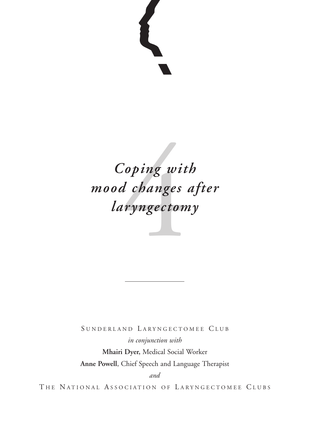

# Coping with<br>Changes<br>Computed:<br>Computed:<br>Computed: *Coping with mood changes after laryngectomy*

SUNDERLAND LARYNGECTOMEE CLUB

*in conjunction with* **Mhairi Dyer,** Medical Social Worker **Anne Powell**, Chief Speech and Language Therapist

*and*

THE NATIONAL ASSOCIATION OF LARYNGECTOMEE CLUBS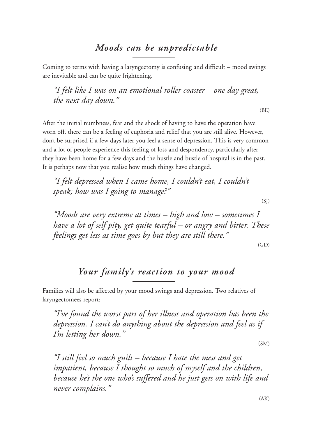### *Moods can be unpredictable*

Coming to terms with having a laryngectomy is confusing and difficult – mood swings are inevitable and can be quite frightening.

*"I felt like I was on an emotional roller coaster – one day great, the next day down."*

(BE)

After the initial numbness, fear and the shock of having to have the operation have worn off, there can be a feeling of euphoria and relief that you are still alive. However, don't be surprised if a few days later you feel a sense of depression. This is very common and a lot of people experience this feeling of loss and despondency, particularly after they have been home for a few days and the hustle and bustle of hospital is in the past. It is perhaps now that you realise how much things have changed.

*"I felt depressed when I came home, I couldn't eat, I couldn't speak; how was I going to manage?"*

(SJ)

*"Moods are very extreme at times – high and low – sometimes I have a lot of self pity, get quite tearful – or angry and bitter. These feelings get less as time goes by but they are still there."*

(GD)

#### *Your family's reaction to your mood*

Families will also be affected by your mood swings and depression. Two relatives of laryngectomees report:

*"I've found the worst part of her illness and operation has been the depression. I can't do anything about the depression and feel as if I'm letting her down."*

(SM)

*"I still feel so much guilt – because I hate the mess and get impatient, because I thought so much of myself and the children, because he's the one who's suffered and he just gets on with life and never complains."*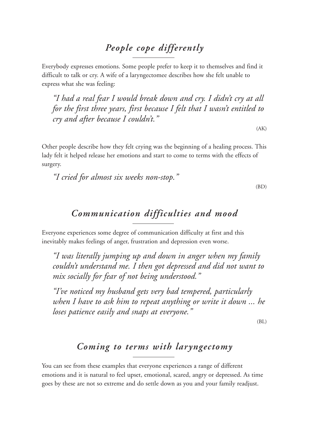# *People cope differently*

Everybody expresses emotions. Some people prefer to keep it to themselves and find it difficult to talk or cry. A wife of a laryngectomee describes how she felt unable to express what she was feeling:

*"I had a real fear I would break down and cry. I didn't cry at all for the first three years, first because I felt that I wasn't entitled to cry and after because I couldn't."*

 $(AK)$ 

Other people describe how they felt crying was the beginning of a healing process. This lady felt it helped release her emotions and start to come to terms with the effects of surgery.

*"I cried for almost six weeks non-stop."*

(BD)

#### *Communication difficulties and mood*

Everyone experiences some degree of communication difficulty at first and this inevitably makes feelings of anger, frustration and depression even worse.

*"I was literally jumping up and down in anger when my family couldn't understand me. I then got depressed and did not want to mix socially for fear of not being understood."*

*"I've noticed my husband gets very bad tempered, particularly when I have to ask him to repeat anything or write it down ... he loses patience easily and snaps at everyone."*

(BL)

#### *Coming to terms with laryngectomy*

You can see from these examples that everyone experiences a range of different emotions and it is natural to feel upset, emotional, scared, angry or depressed. As time goes by these are not so extreme and do settle down as you and your family readjust.